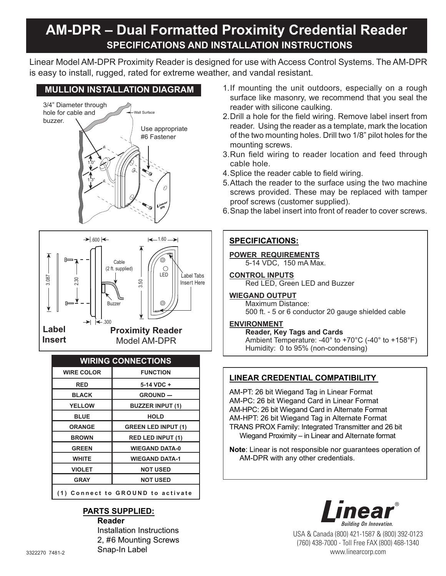# **AM-DPR – Dual Formatted Proximity Credential Reader Specifications and Installation Instructions**

Linear Model AM-DPR Proximity Reader is designed for use with Access Control Systems. The AM-DPR is easy to install, rugged, rated for extreme weather, and vandal resistant.

## **MULLION INSTALLATION DIAGRAM**





## **WIRING CONNECTIONS**

| <b>WIRE COLOR</b>                 | <b>FUNCTION</b>            |
|-----------------------------------|----------------------------|
| RED                               | $5-14$ VDC +               |
| <b>BLACK</b>                      | <b>GROUND ---</b>          |
| <b>YELLOW</b>                     | <b>BUZZER INPUT (1)</b>    |
| <b>BLUE</b>                       | <b>HOLD</b>                |
| <b>ORANGE</b>                     | <b>GREEN LED INPUT (1)</b> |
| <b>BROWN</b>                      | <b>RED LED INPUT (1)</b>   |
| <b>GREEN</b>                      | <b>WIEGAND DATA-0</b>      |
| <b>WHITE</b>                      | <b>WIEGAND DATA-1</b>      |
| <b>VIOLET</b>                     | <b>NOT USED</b>            |
| <b>GRAY</b>                       | <b>NOT USED</b>            |
| (1) Connect to GROUND to activate |                            |

#### **Parts Supplied: Reader**

 Installation Instructions 2, #6 Mounting Screws Snap-In Label

- 1. If mounting the unit outdoors, especially on a rough surface like masonry, we recommend that you seal the reader with silicone caulking.
- 2. Drill a hole for the field wiring. Remove label insert from reader. Using the reader as a template, mark the location of the two mounting holes. Drill two 1/8" pilot holes for the mounting screws.
- 3. Run field wiring to reader location and feed through cable hole.
- 4. Splice the reader cable to field wiring.
- 5. Attach the reader to the surface using the two machine screws provided. These may be replaced with tamper proof screws (customer supplied).
- 6. Snap the label insert into front of reader to cover screws.

## **SPECIFICATIONS:**

#### **POWER REQUIREMENTS** 5-14 VDC, 150 mA Max.

**CONTROL INPUTS** Red LED, Green LED and Buzzer

## **WIEGAND OUTPUT**

Maximum Distance: 500 ft. - 5 or 6 conductor 20 gauge shielded cable

#### **ENVIRONMENT**

**Reader, Key Tags and Cards** Ambient Temperature: -40° to +70°C (-40° to +158°F) Humidity: 0 to 95% (non-condensing)

## **Linear Credential Compatibility**

AM-PT: 26 bit Wiegand Tag in Linear Format AM-PC: 26 bit Wiegand Card in Linear Format AM-HPC: 26 bit Wiegand Card in Alternate Format AM-HPT: 26 bit Wiegand Tag in Alternate Format TRANS PROX Family: Integrated Transmitter and 26 bit Wiegand Proximity  $-$  in Linear and Alternate format

**Note**: Linear is not responsible nor guarantees operation of AM-DPR with any other credentials.



USA & Canada (800) 421-1587 & (800) 392-0123 (760) 438-7000 - Toll Free FAX (800) 468-1340 www.linearcorp.com